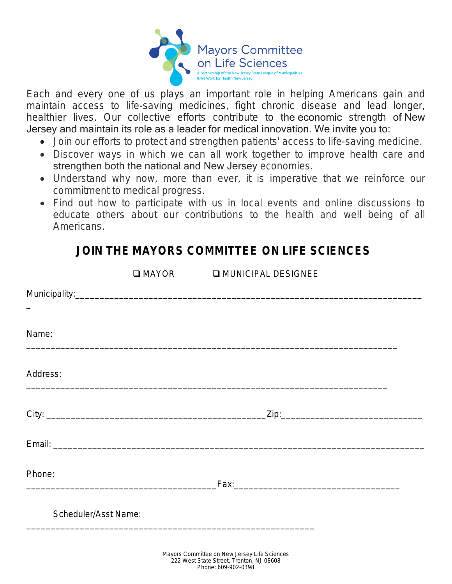

Each and every one of us plays an important role in helping Americans gain and maintain access to life-saving medicines, fight chronic disease and lead longer, healthier lives. Our collective efforts contribute to the economic strength of New Jersey and maintain its role as a leader for medical innovation. We invite you to:

- Join our efforts to protect and strengthen patients' access to life-saving medicine.
- Discover ways in which we can all work together to improve health care and strengthen both the national and New Jersey economies.
- Understand why now, more than ever, it is imperative that we reinforce our commitment to medical progress.
- Find out how to participate with us in local events and online discussions to educate others about our contributions to the health and well being of all Americans.

## **JOIN THE MAYORS COMMITTEE ON LIFE SCIENCES**

|                      | □ MAYOR □ MUNICIPAL DESIGNEE |  |
|----------------------|------------------------------|--|
|                      |                              |  |
|                      |                              |  |
| Name:                |                              |  |
| Address:             |                              |  |
|                      |                              |  |
|                      |                              |  |
| Phone:               |                              |  |
| Scheduler/Asst Name: |                              |  |
|                      |                              |  |